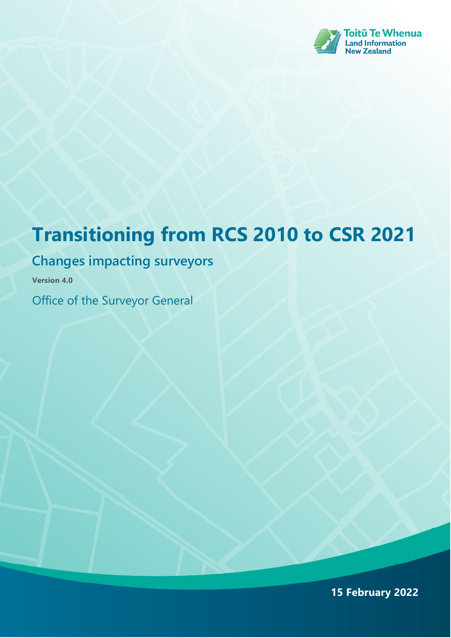

# **Transitioning from RCS 2010 to CSR 2021**

### **Changes impacting surveyors**

**Version 4.0**

Office of the Surveyor General

**15 February 2022**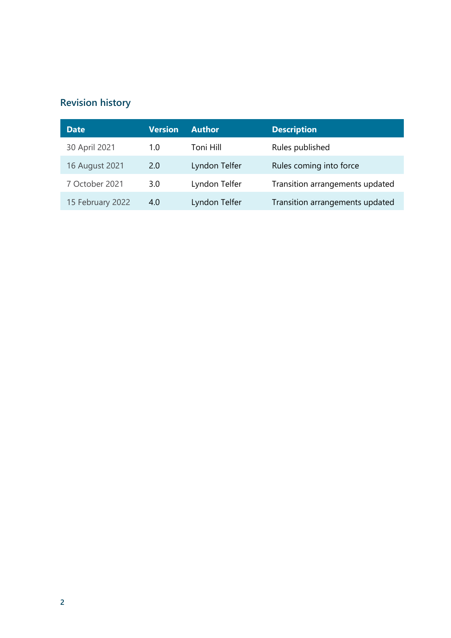### **Revision history**

| <b>Date</b>      | <b>Version</b> | <b>Author</b> | <b>Description</b>              |
|------------------|----------------|---------------|---------------------------------|
| 30 April 2021    | 1.0            | Toni Hill     | Rules published                 |
| 16 August 2021   | 2.0            | Lyndon Telfer | Rules coming into force         |
| 7 October 2021   | 3.0            | Lyndon Telfer | Transition arrangements updated |
| 15 February 2022 | 4.0            | Lyndon Telfer | Transition arrangements updated |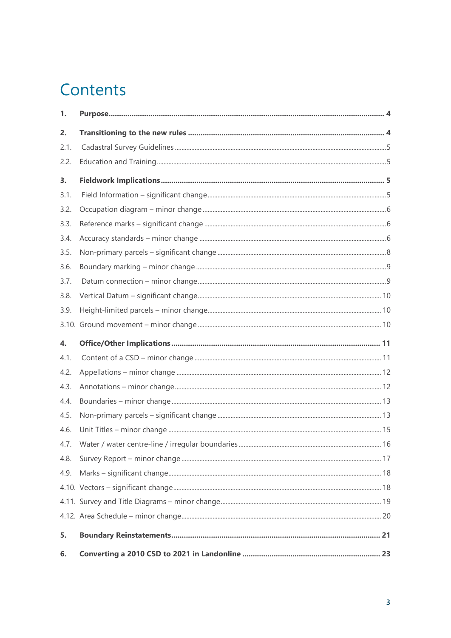# Contents

| 1.           |  |
|--------------|--|
| 2.           |  |
| 2.1.         |  |
| 2.2.         |  |
| 3.           |  |
| 3.1.         |  |
| 3.2.         |  |
| 3.3.         |  |
| 3.4.         |  |
| 3.5.         |  |
| 3.6.         |  |
| 3.7.         |  |
| 3.8.         |  |
| 3.9.         |  |
|              |  |
|              |  |
| $\mathbf{4}$ |  |
| 4.1.         |  |
| 4.2.         |  |
| 4.3.         |  |
| 4.4.         |  |
| 4.5.         |  |
| 4.6.         |  |
| 4.7.         |  |
| 4.8.         |  |
| 4.9.         |  |
|              |  |
|              |  |
|              |  |
| 5.           |  |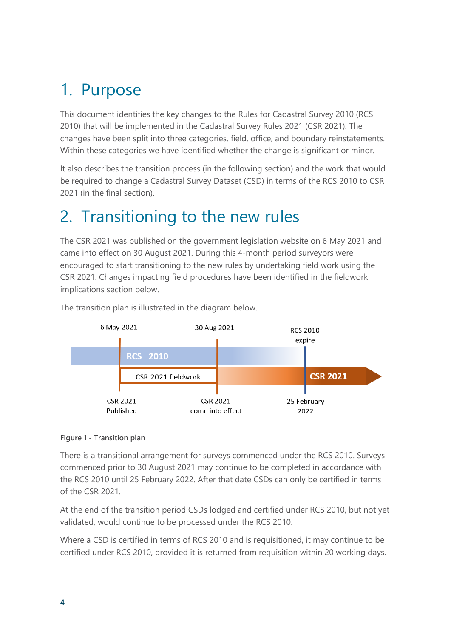# <span id="page-3-0"></span>1. Purpose

This document identifies the key changes to the Rules for Cadastral Survey 2010 (RCS 2010) that will be implemented in the Cadastral Survey Rules 2021 (CSR 2021). The changes have been split into three categories, field, office, and boundary reinstatements. Within these categories we have identified whether the change is significant or minor.

It also describes the transition process (in the following section) and the work that would be required to change a Cadastral Survey Dataset (CSD) in terms of the RCS 2010 to CSR 2021 (in the final section).

## <span id="page-3-1"></span>2. Transitioning to the new rules

The CSR 2021 was published on the government legislation website on 6 May 2021 and came into effect on 30 August 2021. During this 4-month period surveyors were encouraged to start transitioning to the new rules by undertaking field work using the CSR 2021. Changes impacting field procedures have been identified in the fieldwork implications section below.



The transition plan is illustrated in the diagram below.

#### **Figure 1 - Transition plan**

There is a transitional arrangement for surveys commenced under the RCS 2010. Surveys commenced prior to 30 August 2021 may continue to be completed in accordance with the RCS 2010 until 25 February 2022. After that date CSDs can only be certified in terms of the CSR 2021.

At the end of the transition period CSDs lodged and certified under RCS 2010, but not yet validated, would continue to be processed under the RCS 2010.

Where a CSD is certified in terms of RCS 2010 and is requisitioned, it may continue to be certified under RCS 2010, provided it is returned from requisition within 20 working days.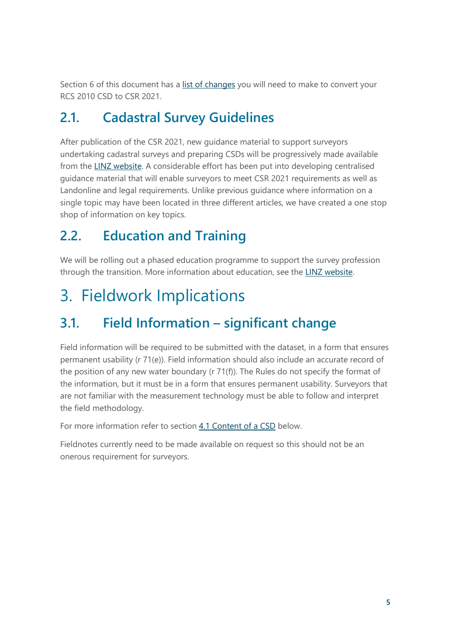Section 6 of this document has a [list of changes](#page-22-0) you will need to make to convert your RCS 2010 CSD to CSR 2021.

### <span id="page-4-0"></span>**2.1. Cadastral Survey Guidelines**

After publication of the CSR 2021, new guidance material to support surveyors undertaking cadastral surveys and preparing CSDs will be progressively made available from the [LINZ website.](https://www.linz.govt.nz/land/surveying/rules-standards-and-guidelines/cadastral-survey-rules-2021-csr-2021-implementation/cadastral-survey-guidelines) A considerable effort has been put into developing centralised guidance material that will enable surveyors to meet CSR 2021 requirements as well as Landonline and legal requirements. Unlike previous guidance where information on a single topic may have been located in three different articles, we have created a one stop shop of information on key topics.

### <span id="page-4-1"></span>**2.2. Education and Training**

We will be rolling out a phased education programme to support the survey profession through the transition. More information about education, see the [LINZ website.](https://www.linz.govt.nz/land/surveying/rules-standards-and-guidelines/cadastral-survey-rules-2021-csr-2021-implementation#webinars)

# <span id="page-4-2"></span>3. Fieldwork Implications

### <span id="page-4-4"></span><span id="page-4-3"></span>**3.1. Field Information – significant change**

Field information will be required to be submitted with the dataset, in a form that ensures permanent usability (r 71(e)). Field information should also include an accurate record of the position of any new water boundary (r 71(f)). The Rules do not specify the format of the information, but it must be in a form that ensures permanent usability. Surveyors that are not familiar with the measurement technology must be able to follow and interpret the field methodology.

For more information refer to section [4.1 Content of a CSD](#page-10-1) below.

Fieldnotes currently need to be made available on request so this should not be an onerous requirement for surveyors.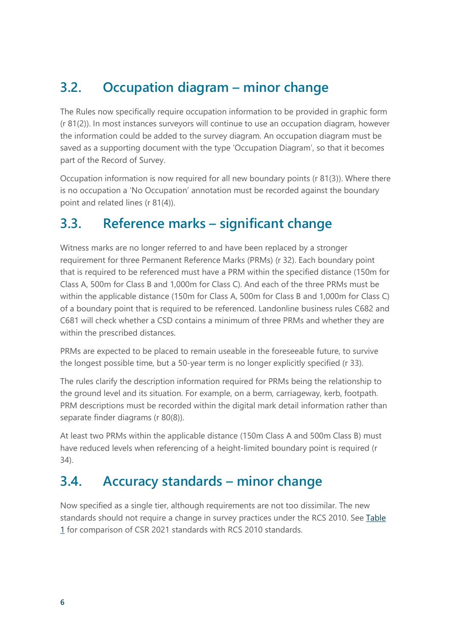### <span id="page-5-0"></span>**3.2. Occupation diagram – minor change**

The Rules now specifically require occupation information to be provided in graphic form (r 81(2)). In most instances surveyors will continue to use an occupation diagram, however the information could be added to the survey diagram. An occupation diagram must be saved as a supporting document with the type 'Occupation Diagram', so that it becomes part of the Record of Survey.

Occupation information is now required for all new boundary points (r 81(3)). Where there is no occupation a 'No Occupation' annotation must be recorded against the boundary point and related lines (r 81(4)).

### <span id="page-5-1"></span>**3.3. Reference marks – significant change**

Witness marks are no longer referred to and have been replaced by a stronger requirement for three Permanent Reference Marks (PRMs) (r 32). Each boundary point that is required to be referenced must have a PRM within the specified distance (150m for Class A, 500m for Class B and 1,000m for Class C). And each of the three PRMs must be within the applicable distance (150m for Class A, 500m for Class B and 1,000m for Class C) of a boundary point that is required to be referenced. Landonline business rules C682 and C681 will check whether a CSD contains a minimum of three PRMs and whether they are within the prescribed distances.

PRMs are expected to be placed to remain useable in the foreseeable future, to survive the longest possible time, but a 50-year term is no longer explicitly specified (r 33).

The rules clarify the description information required for PRMs being the relationship to the ground level and its situation. For example, on a berm, carriageway, kerb, footpath. PRM descriptions must be recorded within the digital mark detail information rather than separate finder diagrams (r 80(8)).

At least two PRMs within the applicable distance (150m Class A and 500m Class B) must have reduced levels when referencing of a height-limited boundary point is required (r 34).

### <span id="page-5-2"></span>**3.4. Accuracy standards – minor change**

Now specified as a single tier, although requirements are not too dissimilar. The new standards should not require a change in survey practices under the RCS 2010. See Table [1](#page-6-0) for comparison of CSR 2021 standards with RCS 2010 standards.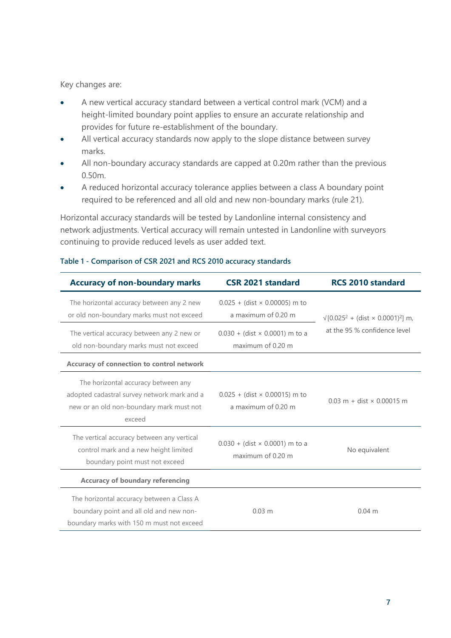Key changes are:

- A new vertical accuracy standard between a vertical control mark (VCM) and a height-limited boundary point applies to ensure an accurate relationship and provides for future re-establishment of the boundary.
- All vertical accuracy standards now apply to the slope distance between survey marks.
- All non-boundary accuracy standards are capped at 0.20m rather than the previous 0.50m.
- A reduced horizontal accuracy tolerance applies between a class A boundary point required to be referenced and all old and new non-boundary marks (rule 21).

Horizontal accuracy standards will be tested by Landonline internal consistency and network adjustments. Vertical accuracy will remain untested in Landonline with surveyors continuing to provide reduced levels as user added text.

| <b>Accuracy of non-boundary marks</b>                                                                                                    | <b>CSR 2021 standard</b>                                    | <b>RCS 2010 standard</b>                       |
|------------------------------------------------------------------------------------------------------------------------------------------|-------------------------------------------------------------|------------------------------------------------|
| The horizontal accuracy between any 2 new<br>or old non-boundary marks must not exceed                                                   | $0.025 + (dist \times 0.00005)$ m to<br>a maximum of 0.20 m | $\sqrt{[0.025^2 + (dist \times 0.0001)^2]}$ m, |
| The vertical accuracy between any 2 new or<br>old non-boundary marks must not exceed                                                     | $0.030 + (dist \times 0.0001)$ m to a<br>maximum of 0.20 m  | at the 95 % confidence level                   |
| Accuracy of connection to control network                                                                                                |                                                             |                                                |
| The horizontal accuracy between any<br>adopted cadastral survey network mark and a<br>new or an old non-boundary mark must not<br>exceed | $0.025 + (dist \times 0.00015)$ m to<br>a maximum of 0.20 m | $0.03$ m + dist $\times$ 0.00015 m             |
| The vertical accuracy between any vertical<br>control mark and a new height limited<br>boundary point must not exceed                    | $0.030 + (dist \times 0.0001)$ m to a<br>maximum of 0.20 m  | No equivalent                                  |
| <b>Accuracy of boundary referencing</b>                                                                                                  |                                                             |                                                |
| The horizontal accuracy between a Class A<br>boundary point and all old and new non-<br>boundary marks with 150 m must not exceed        | $0.03$ m                                                    | $0.04 \text{ m}$                               |

#### <span id="page-6-0"></span>**Table 1 - Comparison of CSR 2021 and RCS 2010 accuracy standards**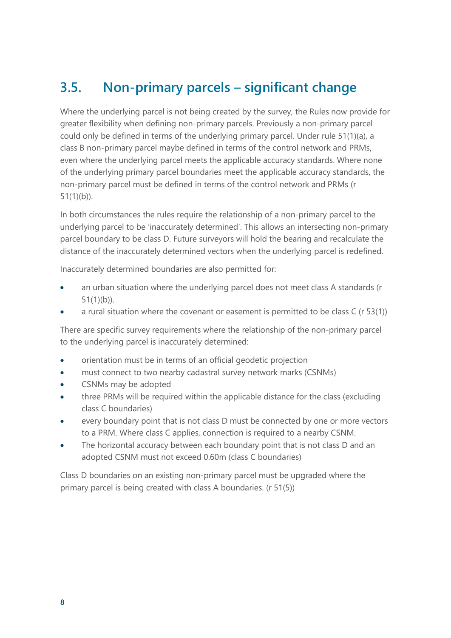### <span id="page-7-1"></span><span id="page-7-0"></span>**3.5. Non-primary parcels – significant change**

Where the underlying parcel is not being created by the survey, the Rules now provide for greater flexibility when defining non-primary parcels. Previously a non-primary parcel could only be defined in terms of the underlying primary parcel. Under rule 51(1)(a), a class B non-primary parcel maybe defined in terms of the control network and PRMs, even where the underlying parcel meets the applicable accuracy standards. Where none of the underlying primary parcel boundaries meet the applicable accuracy standards, the non-primary parcel must be defined in terms of the control network and PRMs (r 51(1)(b)).

In both circumstances the rules require the relationship of a non-primary parcel to the underlying parcel to be 'inaccurately determined'. This allows an intersecting non-primary parcel boundary to be class D. Future surveyors will hold the bearing and recalculate the distance of the inaccurately determined vectors when the underlying parcel is redefined.

Inaccurately determined boundaries are also permitted for:

- an urban situation where the underlying parcel does not meet class A standards (r 51(1)(b)).
- a rural situation where the covenant or easement is permitted to be class  $C$  (r 53(1))

There are specific survey requirements where the relationship of the non-primary parcel to the underlying parcel is inaccurately determined:

- orientation must be in terms of an official geodetic projection
- must connect to two nearby cadastral survey network marks (CSNMs)
- CSNMs may be adopted
- three PRMs will be required within the applicable distance for the class (excluding class C boundaries)
- every boundary point that is not class D must be connected by one or more vectors to a PRM. Where class C applies, connection is required to a nearby CSNM.
- The horizontal accuracy between each boundary point that is not class D and an adopted CSNM must not exceed 0.60m (class C boundaries)

Class D boundaries on an existing non-primary parcel must be upgraded where the primary parcel is being created with class A boundaries. (r 51(5))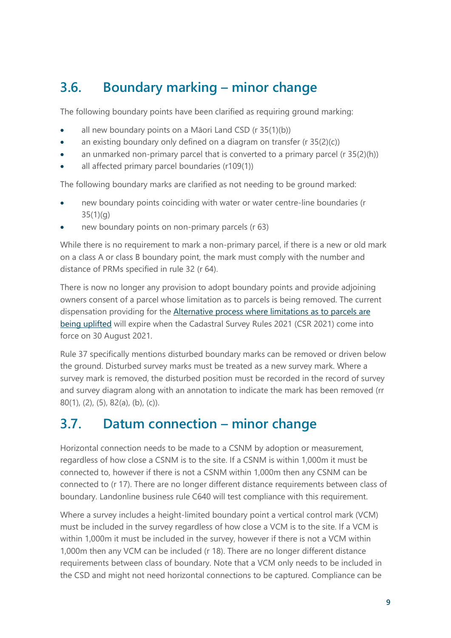### <span id="page-8-0"></span>**3.6. Boundary marking – minor change**

The following boundary points have been clarified as requiring ground marking:

- all new boundary points on a Māori Land CSD (r 35(1)(b))
- an existing boundary only defined on a diagram on transfer  $(r 35(2)(c))$
- an unmarked non-primary parcel that is converted to a primary parcel (r 35(2)(h))
- all affected primary parcel boundaries (r109(1))

The following boundary marks are clarified as not needing to be ground marked:

- new boundary points coinciding with water or water centre-line boundaries (r 35(1)(g)
- new boundary points on non-primary parcels (r 63)

While there is no requirement to mark a non-primary parcel, if there is a new or old mark on a class A or class B boundary point, the mark must comply with the number and distance of PRMs specified in rule 32 (r 64).

There is now no longer any provision to adopt boundary points and provide adjoining owners consent of a parcel whose limitation as to parcels is being removed. The current dispensation providing for the [Alternative process where limitations as to parcels are](https://www.linz.govt.nz/kb/781#altprocess)  [being uplifted](https://www.linz.govt.nz/kb/781#altprocess) will expire when the Cadastral Survey Rules 2021 (CSR 2021) come into force on 30 August 2021.

Rule 37 specifically mentions disturbed boundary marks can be removed or driven below the ground. Disturbed survey marks must be treated as a new survey mark. Where a survey mark is removed, the disturbed position must be recorded in the record of survey and survey diagram along with an annotation to indicate the mark has been removed (rr 80(1), (2), (5), 82(a), (b), (c)).

### <span id="page-8-1"></span>**3.7. Datum connection – minor change**

Horizontal connection needs to be made to a CSNM by adoption or measurement, regardless of how close a CSNM is to the site. If a CSNM is within 1,000m it must be connected to, however if there is not a CSNM within 1,000m then any CSNM can be connected to (r 17). There are no longer different distance requirements between class of boundary. Landonline business rule C640 will test compliance with this requirement.

Where a survey includes a height-limited boundary point a vertical control mark (VCM) must be included in the survey regardless of how close a VCM is to the site. If a VCM is within 1,000m it must be included in the survey, however if there is not a VCM within 1,000m then any VCM can be included (r 18). There are no longer different distance requirements between class of boundary. Note that a VCM only needs to be included in the CSD and might not need horizontal connections to be captured. Compliance can be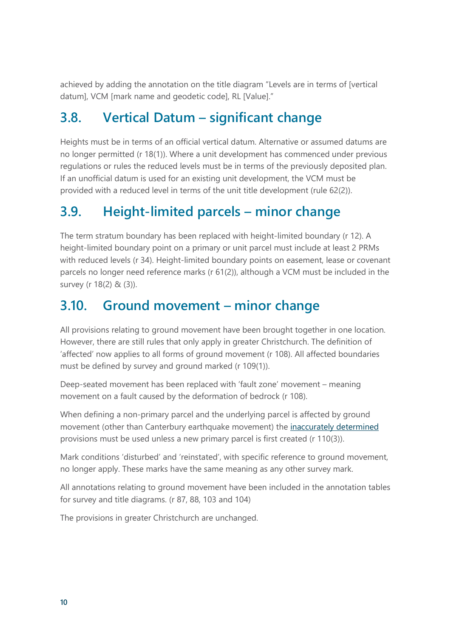achieved by adding the annotation on the title diagram "Levels are in terms of [vertical datum], VCM [mark name and geodetic code], RL [Value]."

### <span id="page-9-0"></span>**3.8. Vertical Datum – significant change**

Heights must be in terms of an official vertical datum. Alternative or assumed datums are no longer permitted (r 18(1)). Where a unit development has commenced under previous regulations or rules the reduced levels must be in terms of the previously deposited plan. If an unofficial datum is used for an existing unit development, the VCM must be provided with a reduced level in terms of the unit title development (rule 62(2)).

### <span id="page-9-1"></span>**3.9. Height-limited parcels – minor change**

The term stratum boundary has been replaced with height-limited boundary (r 12). A height-limited boundary point on a primary or unit parcel must include at least 2 PRMs with reduced levels (r 34). Height-limited boundary points on easement, lease or covenant parcels no longer need reference marks (r 61(2)), although a VCM must be included in the survey (r 18(2) & (3)).

### <span id="page-9-2"></span>**3.10. Ground movement – minor change**

All provisions relating to ground movement have been brought together in one location. However, there are still rules that only apply in greater Christchurch. The definition of 'affected' now applies to all forms of ground movement (r 108). All affected boundaries must be defined by survey and ground marked (r 109(1)).

Deep-seated movement has been replaced with 'fault zone' movement – meaning movement on a fault caused by the deformation of bedrock (r 108).

When defining a non-primary parcel and the underlying parcel is affected by ground movement (other than Canterbury earthquake movement) the [inaccurately determined](#page-7-1) provisions must be used unless a new primary parcel is first created (r 110(3)).

Mark conditions 'disturbed' and 'reinstated', with specific reference to ground movement, no longer apply. These marks have the same meaning as any other survey mark.

All annotations relating to ground movement have been included in the annotation tables for survey and title diagrams. (r 87, 88, 103 and 104)

The provisions in greater Christchurch are unchanged.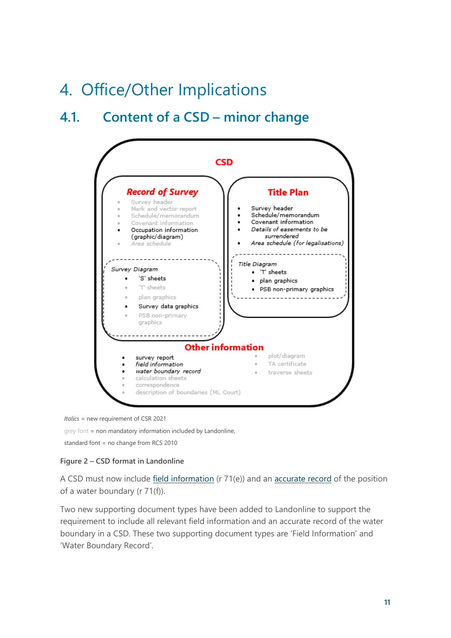# <span id="page-10-0"></span>4. Office/Other Implications

### <span id="page-10-1"></span>**4.1. Content of a CSD – minor change**



*Italics* = new requirement of CSR 2021

grey font = non mandatory information included by Landonline,

standard font = no change from RCS 2010

#### **Figure 2 – CSD format in Landonline**

A CSD must now include [field information](#page-4-4) (r 71(e)) and an [accurate record](#page-15-1) of the position of a water boundary (r 71(f)).

Two new supporting document types have been added to Landonline to support the requirement to include all relevant field information and an accurate record of the water boundary in a CSD. These two supporting document types are 'Field Information' and 'Water Boundary Record'.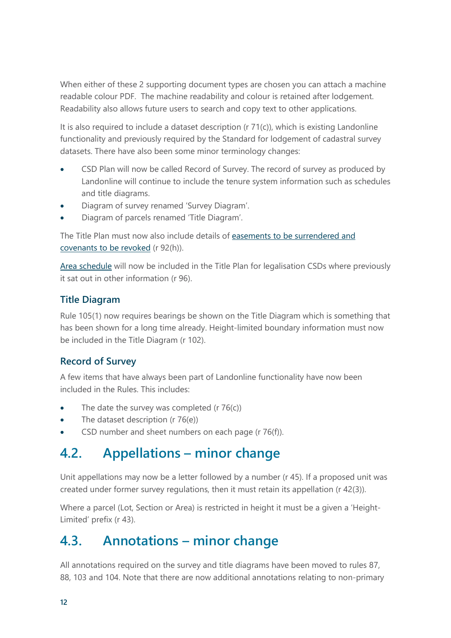When either of these 2 supporting document types are chosen you can attach a machine readable colour PDF. The machine readability and colour is retained after lodgement. Readability also allows future users to search and copy text to other applications.

It is also required to include a dataset description (r 71(c)), which is existing Landonline functionality and previously required by the Standard for lodgement of cadastral survey datasets. There have also been some minor terminology changes:

- CSD Plan will now be called Record of Survey. The record of survey as produced by Landonline will continue to include the tenure system information such as schedules and title diagrams.
- Diagram of survey renamed 'Survey Diagram'.
- Diagram of parcels renamed 'Title Diagram'.

The Title Plan must now also include details of easements to be surrendered and [covenants to be revoked](#page-13-0) (r 92(h)).

[Area schedule](#page-19-0) will now be included in the Title Plan for legalisation CSDs where previously it sat out in other information (r 96).

#### **Title Diagram**

Rule 105(1) now requires bearings be shown on the Title Diagram which is something that has been shown for a long time already. Height-limited boundary information must now be included in the Title Diagram (r 102).

### **Record of Survey**

A few items that have always been part of Landonline functionality have now been included in the Rules. This includes:

- The date the survey was completed  $(r 76(c))$
- The dataset description (r 76(e))
- CSD number and sheet numbers on each page (r 76(f)).

### <span id="page-11-0"></span>**4.2. Appellations – minor change**

Unit appellations may now be a letter followed by a number (r 45). If a proposed unit was created under former survey regulations, then it must retain its appellation (r 42(3)).

Where a parcel (Lot, Section or Area) is restricted in height it must be a given a 'Height-Limited' prefix (r 43).

### <span id="page-11-1"></span>**4.3. Annotations – minor change**

All annotations required on the survey and title diagrams have been moved to rules 87, 88, 103 and 104. Note that there are now additional annotations relating to non-primary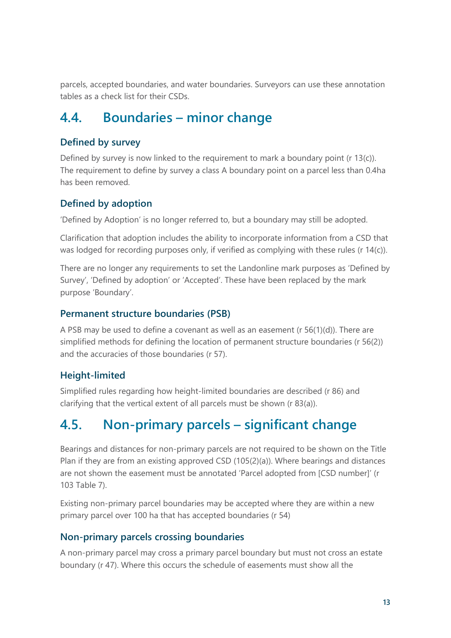parcels, accepted boundaries, and water boundaries. Surveyors can use these annotation tables as a check list for their CSDs.

### <span id="page-12-0"></span>**4.4. Boundaries – minor change**

### **Defined by survey**

Defined by survey is now linked to the requirement to mark a boundary point (r 13(c)). The requirement to define by survey a class A boundary point on a parcel less than 0.4ha has been removed.

### **Defined by adoption**

'Defined by Adoption' is no longer referred to, but a boundary may still be adopted.

Clarification that adoption includes the ability to incorporate information from a CSD that was lodged for recording purposes only, if verified as complying with these rules (r 14(c)).

There are no longer any requirements to set the Landonline mark purposes as 'Defined by Survey', 'Defined by adoption' or 'Accepted'. These have been replaced by the mark purpose 'Boundary'.

#### **Permanent structure boundaries (PSB)**

A PSB may be used to define a covenant as well as an easement (r 56(1)(d)). There are simplified methods for defining the location of permanent structure boundaries (r 56(2)) and the accuracies of those boundaries (r 57).

### **Height-limited**

Simplified rules regarding how height-limited boundaries are described (r 86) and clarifying that the vertical extent of all parcels must be shown (r 83(a)).

### <span id="page-12-1"></span>**4.5. Non-primary parcels – significant change**

Bearings and distances for non-primary parcels are not required to be shown on the Title Plan if they are from an existing approved CSD (105(2)(a)). Where bearings and distances are not shown the easement must be annotated 'Parcel adopted from [CSD number]' (r 103 Table 7).

Existing non-primary parcel boundaries may be accepted where they are within a new primary parcel over 100 ha that has accepted boundaries (r 54)

#### **Non-primary parcels crossing boundaries**

A non-primary parcel may cross a primary parcel boundary but must not cross an estate boundary (r 47). Where this occurs the schedule of easements must show all the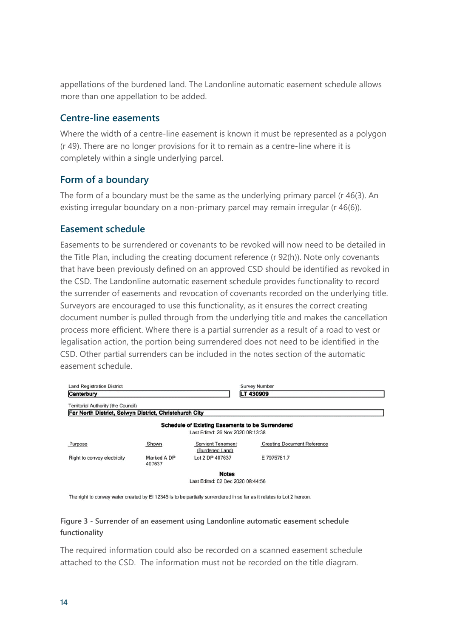appellations of the burdened land. The Landonline automatic easement schedule allows more than one appellation to be added.

#### **Centre-line easements**

Where the width of a centre-line easement is known it must be represented as a polygon (r 49). There are no longer provisions for it to remain as a centre-line where it is completely within a single underlying parcel.

#### **Form of a boundary**

The form of a boundary must be the same as the underlying primary parcel (r 46(3). An existing irregular boundary on a non-primary parcel may remain irregular (r 46(6)).

#### <span id="page-13-0"></span>**Easement schedule**

Easements to be surrendered or covenants to be revoked will now need to be detailed in the Title Plan, including the creating document reference (r 92(h)). Note only covenants that have been previously defined on an approved CSD should be identified as revoked in the CSD. The Landonline automatic easement schedule provides functionality to record the surrender of easements and revocation of covenants recorded on the underlying title. Surveyors are encouraged to use this functionality, as it ensures the correct creating document number is pulled through from the underlying title and makes the cancellation process more efficient. Where there is a partial surrender as a result of a road to vest or legalisation action, the portion being surrendered does not need to be identified in the CSD. Other partial surrenders can be included in the notes section of the automatic easement schedule.

| <b>Land Registration District</b><br>Canterbury                                                      |                       |                                                                                              | Survey Number<br>LT 430909         |
|------------------------------------------------------------------------------------------------------|-----------------------|----------------------------------------------------------------------------------------------|------------------------------------|
| <b>Territorial Authority (the Council)</b><br>Far North District, Selwyn District, Christchurch City |                       |                                                                                              |                                    |
|                                                                                                      |                       |                                                                                              |                                    |
|                                                                                                      |                       | <b>Schedule of Existing Easements to be Surrendered</b><br>Last Edited: 26 Nov 2020 08:13:38 |                                    |
| Purpose                                                                                              | Shown                 | <b>Servient Tenement</b><br>(Burdened Land)                                                  | <b>Creating Document Reference</b> |
| Right to convey electricity                                                                          | Marked A DP<br>407637 | Lot 2 DP 407637                                                                              | E 7975781.7                        |
|                                                                                                      |                       | <b>Notes</b>                                                                                 |                                    |
|                                                                                                      |                       | Last Edited: 02 Dec 2020 08:44:56                                                            |                                    |

The right to convey water created by EI 12345 is to be partially surrendered in so far as it relates to Lot 2 hereon.

#### **Figure 3 - Surrender of an easement using Landonline automatic easement schedule functionality**

The required information could also be recorded on a scanned easement schedule attached to the CSD. The information must not be recorded on the title diagram.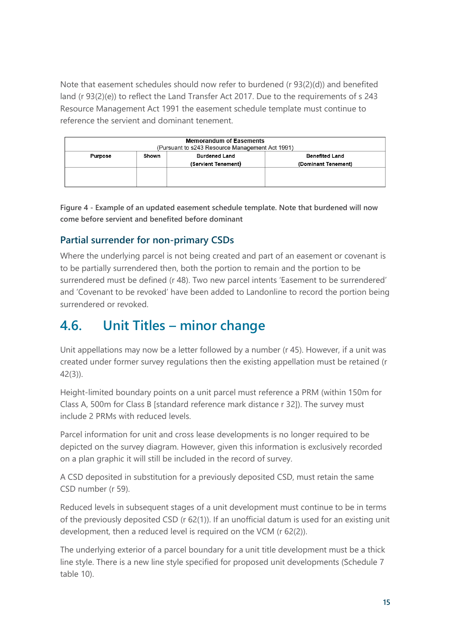Note that easement schedules should now refer to burdened (r 93(2)(d)) and benefited land (r 93(2)(e)) to reflect the Land Transfer Act 2017. Due to the requirements of s 243 Resource Management Act 1991 the easement schedule template must continue to reference the servient and dominant tenement.

| <b>Memorandum of Easements</b><br>(Pursuant to s243 Resource Management Act 1991)                               |  |  |  |  |
|-----------------------------------------------------------------------------------------------------------------|--|--|--|--|
| <b>Burdened Land</b><br>Shown<br><b>Benefited Land</b><br>Purpose<br>(Servient Tenement)<br>(Dominant Tenement) |  |  |  |  |
|                                                                                                                 |  |  |  |  |

**Figure 4 - Example of an updated easement schedule template. Note that burdened will now come before servient and benefited before dominant**

### **Partial surrender for non-primary CSDs**

Where the underlying parcel is not being created and part of an easement or covenant is to be partially surrendered then, both the portion to remain and the portion to be surrendered must be defined (r 48). Two new parcel intents 'Easement to be surrendered' and 'Covenant to be revoked' have been added to Landonline to record the portion being surrendered or revoked.

### <span id="page-14-0"></span>**4.6. Unit Titles – minor change**

Unit appellations may now be a letter followed by a number (r 45). However, if a unit was created under former survey regulations then the existing appellation must be retained (r 42(3)).

Height-limited boundary points on a unit parcel must reference a PRM (within 150m for Class A, 500m for Class B [standard reference mark distance r 32]). The survey must include 2 PRMs with reduced levels.

Parcel information for unit and cross lease developments is no longer required to be depicted on the survey diagram. However, given this information is exclusively recorded on a plan graphic it will still be included in the record of survey.

A CSD deposited in substitution for a previously deposited CSD, must retain the same CSD number (r 59).

Reduced levels in subsequent stages of a unit development must continue to be in terms of the previously deposited CSD (r 62(1)). If an unofficial datum is used for an existing unit development, then a reduced level is required on the VCM (r 62(2)).

The underlying exterior of a parcel boundary for a unit title development must be a thick line style. There is a new line style specified for proposed unit developments (Schedule 7 table 10).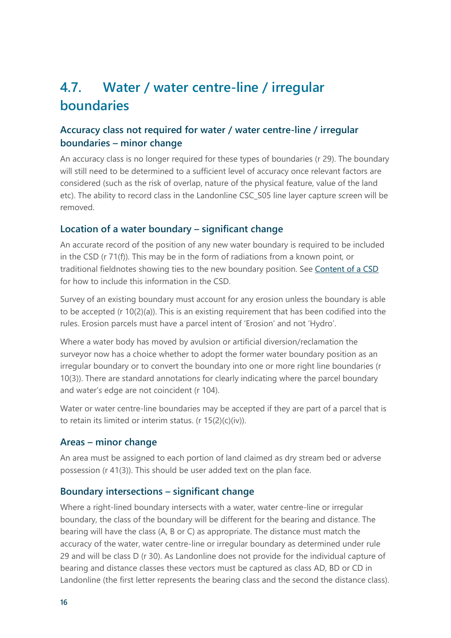### <span id="page-15-0"></span>**4.7. Water / water centre-line / irregular boundaries**

### **Accuracy class not required for water / water centre-line / irregular boundaries – minor change**

An accuracy class is no longer required for these types of boundaries (r 29). The boundary will still need to be determined to a sufficient level of accuracy once relevant factors are considered (such as the risk of overlap, nature of the physical feature, value of the land etc). The ability to record class in the Landonline CSC\_S05 line layer capture screen will be removed.

#### <span id="page-15-1"></span>**Location of a water boundary – significant change**

An accurate record of the position of any new water boundary is required to be included in the CSD (r 71(f)). This may be in the form of radiations from a known point, or traditional fieldnotes showing ties to the new boundary position. See [Content of a CSD](#page-10-1) for how to include this information in the CSD.

Survey of an existing boundary must account for any erosion unless the boundary is able to be accepted (r 10(2)(a)). This is an existing requirement that has been codified into the rules. Erosion parcels must have a parcel intent of 'Erosion' and not 'Hydro'.

Where a water body has moved by avulsion or artificial diversion/reclamation the surveyor now has a choice whether to adopt the former water boundary position as an irregular boundary or to convert the boundary into one or more right line boundaries (r 10(3)). There are standard annotations for clearly indicating where the parcel boundary and water's edge are not coincident (r 104).

Water or water centre-line boundaries may be accepted if they are part of a parcel that is to retain its limited or interim status. (r 15(2)(c)(iv)).

#### **Areas – minor change**

An area must be assigned to each portion of land claimed as dry stream bed or adverse possession (r 41(3)). This should be user added text on the plan face.

#### **Boundary intersections – significant change**

Where a right-lined boundary intersects with a water, water centre-line or irregular boundary, the class of the boundary will be different for the bearing and distance. The bearing will have the class (A, B or C) as appropriate. The distance must match the accuracy of the water, water centre-line or irregular boundary as determined under rule 29 and will be class D (r 30). As Landonline does not provide for the individual capture of bearing and distance classes these vectors must be captured as class AD, BD or CD in Landonline (the first letter represents the bearing class and the second the distance class).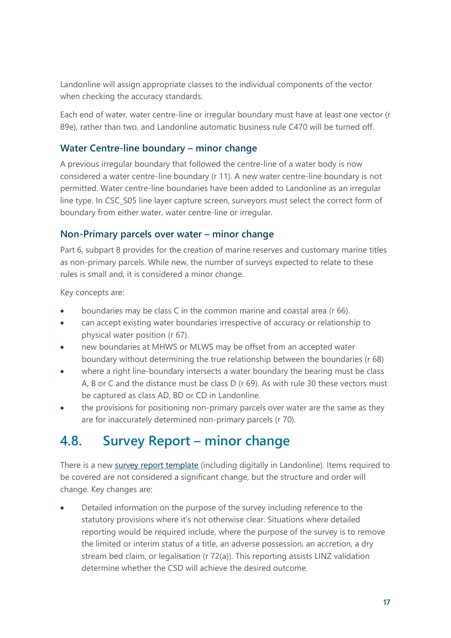Landonline will assign appropriate classes to the individual components of the vector when checking the accuracy standards.

Each end of water, water centre-line or irregular boundary must have at least one vector (r 89e), rather than two, and Landonline automatic business rule C470 will be turned off.

#### **Water Centre-line boundary – minor change**

A previous irregular boundary that followed the centre-line of a water body is now considered a water centre-line boundary (r 11). A new water centre-line boundary is not permitted. Water centre-line boundaries have been added to Landonline as an irregular line type. In CSC\_S05 line layer capture screen, surveyors must select the correct form of boundary from either water, water centre-line or irregular.

#### **Non-Primary parcels over water – minor change**

Part 6, subpart 8 provides for the creation of marine reserves and customary marine titles as non-primary parcels. While new, the number of surveys expected to relate to these rules is small and, it is considered a minor change.

Key concepts are:

- boundaries may be class C in the common marine and coastal area (r 66).
- can accept existing water boundaries irrespective of accuracy or relationship to physical water position (r 67).
- new boundaries at MHWS or MLWS may be offset from an accepted water boundary without determining the true relationship between the boundaries (r 68)
- where a right line-boundary intersects a water boundary the bearing must be class A, B or C and the distance must be class D (r 69). As with rule 30 these vectors must be captured as class AD, BD or CD in Landonline.
- the provisions for positioning non-primary parcels over water are the same as they are for inaccurately determined non-primary parcels (r 70).

### <span id="page-16-0"></span>**4.8. Survey Report – minor change**

There is a new [survey report template](https://www.linz.govt.nz/system/files_force/media/doc/survey_report_template_v1_july_2021_0.docx?download=1) (including digitally in Landonline). Items required to be covered are not considered a significant change, but the structure and order will change. Key changes are:

• Detailed information on the purpose of the survey including reference to the statutory provisions where it's not otherwise clear. Situations where detailed reporting would be required include, where the purpose of the survey is to remove the limited or interim status of a title, an adverse possession, an accretion, a dry stream bed claim, or legalisation (r 72(a)). This reporting assists LINZ validation determine whether the CSD will achieve the desired outcome.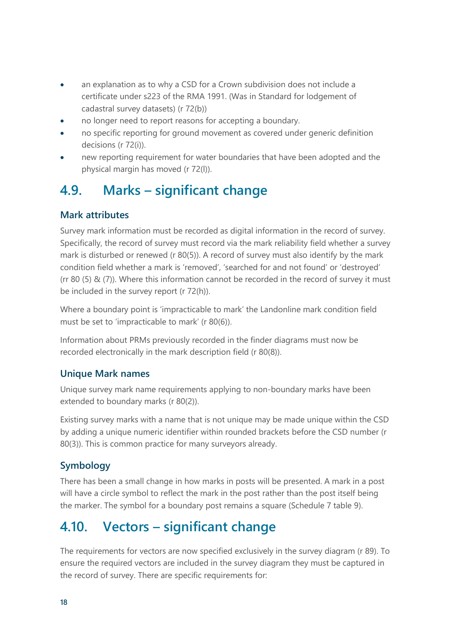- an explanation as to why a CSD for a Crown subdivision does not include a certificate under s223 of the RMA 1991. (Was in Standard for lodgement of cadastral survey datasets) (r 72(b))
- no longer need to report reasons for accepting a boundary.
- no specific reporting for ground movement as covered under generic definition decisions (r 72(i)).
- new reporting requirement for water boundaries that have been adopted and the physical margin has moved (r 72(l)).

### <span id="page-17-0"></span>**4.9. Marks – significant change**

#### **Mark attributes**

Survey mark information must be recorded as digital information in the record of survey. Specifically, the record of survey must record via the mark reliability field whether a survey mark is disturbed or renewed (r 80(5)). A record of survey must also identify by the mark condition field whether a mark is 'removed', 'searched for and not found' or 'destroyed' (rr 80 (5) & (7)). Where this information cannot be recorded in the record of survey it must be included in the survey report (r 72(h)).

Where a boundary point is 'impracticable to mark' the Landonline mark condition field must be set to 'impracticable to mark' (r 80(6)).

Information about PRMs previously recorded in the finder diagrams must now be recorded electronically in the mark description field (r 80(8)).

#### **Unique Mark names**

Unique survey mark name requirements applying to non-boundary marks have been extended to boundary marks (r 80(2)).

Existing survey marks with a name that is not unique may be made unique within the CSD by adding a unique numeric identifier within rounded brackets before the CSD number (r 80(3)). This is common practice for many surveyors already.

### **Symbology**

There has been a small change in how marks in posts will be presented. A mark in a post will have a circle symbol to reflect the mark in the post rather than the post itself being the marker. The symbol for a boundary post remains a square (Schedule 7 table 9).

### <span id="page-17-1"></span>**4.10. Vectors – significant change**

The requirements for vectors are now specified exclusively in the survey diagram (r 89). To ensure the required vectors are included in the survey diagram they must be captured in the record of survey. There are specific requirements for: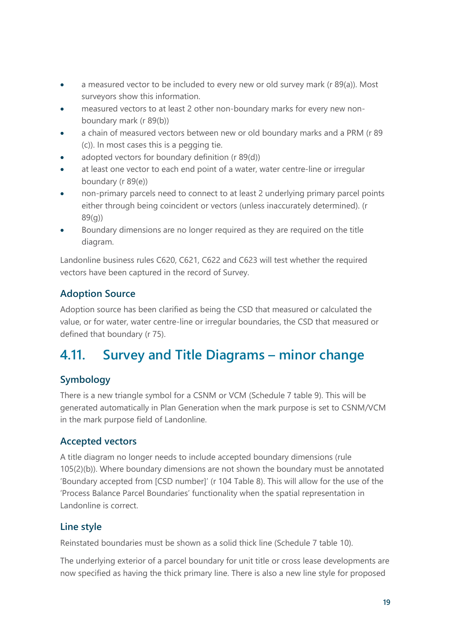- a measured vector to be included to every new or old survey mark (r 89(a)). Most surveyors show this information.
- measured vectors to at least 2 other non-boundary marks for every new nonboundary mark (r 89(b))
- a chain of measured vectors between new or old boundary marks and a PRM (r 89 (c)). In most cases this is a pegging tie.
- adopted vectors for boundary definition (r 89(d))
- at least one vector to each end point of a water, water centre-line or irregular boundary (r 89(e))
- non-primary parcels need to connect to at least 2 underlying primary parcel points either through being coincident or vectors (unless inaccurately determined). (r 89(g))
- Boundary dimensions are no longer required as they are required on the title diagram.

Landonline business rules C620, C621, C622 and C623 will test whether the required vectors have been captured in the record of Survey.

### **Adoption Source**

Adoption source has been clarified as being the CSD that measured or calculated the value, or for water, water centre-line or irregular boundaries, the CSD that measured or defined that boundary (r 75).

### <span id="page-18-0"></span>**4.11. Survey and Title Diagrams – minor change**

### **Symbology**

There is a new triangle symbol for a CSNM or VCM (Schedule 7 table 9). This will be generated automatically in Plan Generation when the mark purpose is set to CSNM/VCM in the mark purpose field of Landonline.

### **Accepted vectors**

A title diagram no longer needs to include accepted boundary dimensions (rule 105(2)(b)). Where boundary dimensions are not shown the boundary must be annotated 'Boundary accepted from [CSD number]' (r 104 Table 8). This will allow for the use of the 'Process Balance Parcel Boundaries' functionality when the spatial representation in Landonline is correct.

### **Line style**

Reinstated boundaries must be shown as a solid thick line (Schedule 7 table 10).

The underlying exterior of a parcel boundary for unit title or cross lease developments are now specified as having the thick primary line. There is also a new line style for proposed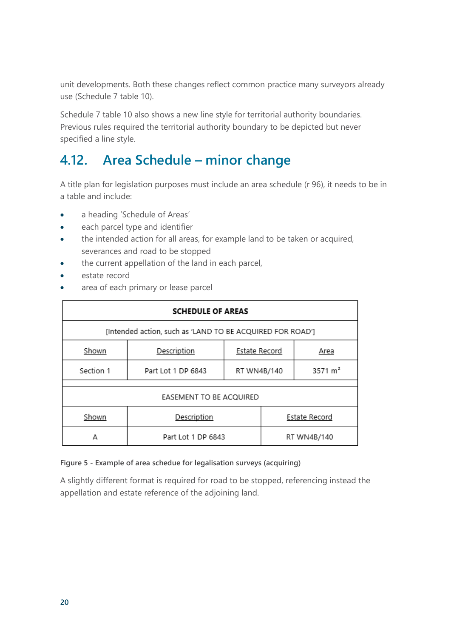unit developments. Both these changes reflect common practice many surveyors already use (Schedule 7 table 10).

Schedule 7 table 10 also shows a new line style for territorial authority boundaries. Previous rules required the territorial authority boundary to be depicted but never specified a line style.

### <span id="page-19-0"></span>**4.12. Area Schedule – minor change**

A title plan for legislation purposes must include an area schedule (r 96), it needs to be in a table and include:

- a heading 'Schedule of Areas'
- each parcel type and identifier
- the intended action for all areas, for example land to be taken or acquired, severances and road to be stopped
- the current appellation of the land in each parcel,
- estate record
- area of each primary or lease parcel

| <b>SCHEDULE OF AREAS</b>                                  |                                   |                              |  |                    |  |  |
|-----------------------------------------------------------|-----------------------------------|------------------------------|--|--------------------|--|--|
| [Intended action, such as 'LAND TO BE ACQUIRED FOR ROAD'] |                                   |                              |  |                    |  |  |
| Shown                                                     | Description                       | <b>Estate Record</b><br>Area |  |                    |  |  |
| Section 1                                                 | Part Lot 1 DP 6843<br>RT WN4B/140 |                              |  | $3571 \text{ m}^2$ |  |  |
| EASEMENT TO BE ACQUIRED                                   |                                   |                              |  |                    |  |  |
| Shown                                                     | Description                       | <b>Estate Record</b>         |  |                    |  |  |
| А                                                         | Part Lot 1 DP 6843<br>RT WN4B/140 |                              |  |                    |  |  |

#### **Figure 5 - Example of area schedue for legalisation surveys (acquiring)**

A slightly different format is required for road to be stopped, referencing instead the appellation and estate reference of the adjoining land.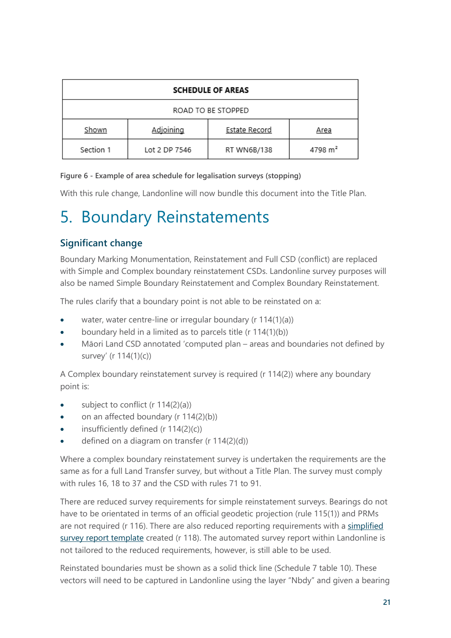| <b>SCHEDULE OF AREAS</b>                                  |               |             |                     |  |  |
|-----------------------------------------------------------|---------------|-------------|---------------------|--|--|
| ROAD TO BE STOPPED                                        |               |             |                     |  |  |
| <b>Adjoining</b><br><b>Estate Record</b><br>Shown<br>Area |               |             |                     |  |  |
| Section 1                                                 | Lot 2 DP 7546 | RT WN6B/138 | 4798 m <sup>2</sup> |  |  |

#### **Figure 6 - Example of area schedule for legalisation surveys (stopping)**

With this rule change, Landonline will now bundle this document into the Title Plan.

## <span id="page-20-0"></span>5. Boundary Reinstatements

#### **Significant change**

Boundary Marking Monumentation, Reinstatement and Full CSD (conflict) are replaced with Simple and Complex boundary reinstatement CSDs. Landonline survey purposes will also be named Simple Boundary Reinstatement and Complex Boundary Reinstatement.

The rules clarify that a boundary point is not able to be reinstated on a:

- water, water centre-line or irregular boundary (r 114(1)(a))
- boundary held in a limited as to parcels title (r 114(1)(b))
- Māori Land CSD annotated 'computed plan areas and boundaries not defined by survey' (r 114(1)(c))

A Complex boundary reinstatement survey is required (r 114(2)) where any boundary point is:

- subject to conflict (r 114(2)(a))
- on an affected boundary (r 114(2)(b))
- insufficiently defined ( $r$  114(2)(c))
- defined on a diagram on transfer (r 114(2)(d))

Where a complex boundary reinstatement survey is undertaken the requirements are the same as for a full Land Transfer survey, but without a Title Plan. The survey must comply with rules 16, 18 to 37 and the CSD with rules 71 to 91.

There are reduced survey requirements for simple reinstatement surveys. Bearings do not have to be orientated in terms of an official geodetic projection (rule 115(1)) and PRMs are not required (r 116). There are also reduced reporting requirements with a [simplified](https://www.linz.govt.nz/file/23132/download?token=65sa1iyS) [survey report template](https://www.linz.govt.nz/file/23132/download?token=65sa1iyS) created (r 118). The automated survey report within Landonline is not tailored to the reduced requirements, however, is still able to be used.

Reinstated boundaries must be shown as a solid thick line (Schedule 7 table 10). These vectors will need to be captured in Landonline using the layer "Nbdy" and given a bearing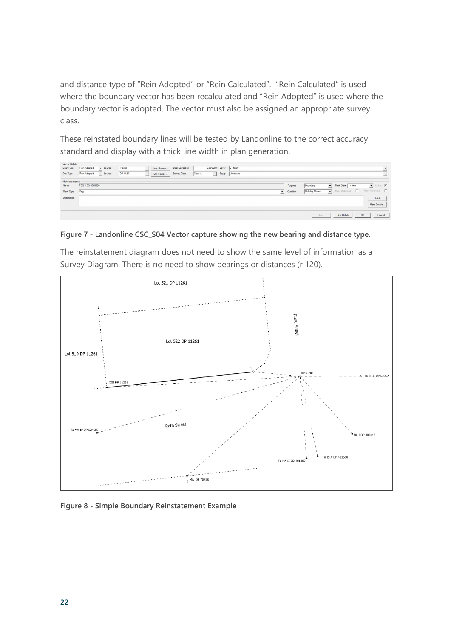and distance type of "Rein Adopted" or "Rein Calculated". "Rein Calculated" is used where the boundary vector has been recalculated and "Rein Adopted" is used where the boundary vector is adopted. The vector must also be assigned an appropriate survey class.

These reinstated boundary lines will be tested by Landonline to the correct accuracy standard and display with a thick line width in plan generation.



#### **Figure 7 - Landonline CSC\_S04 Vector capture showing the new bearing and distance type.**

The reinstatement diagram does not need to show the same level of information as a Survey Diagram. There is no need to show bearings or distances (r 120).



**Figure 8 - Simple Boundary Reinstatement Example**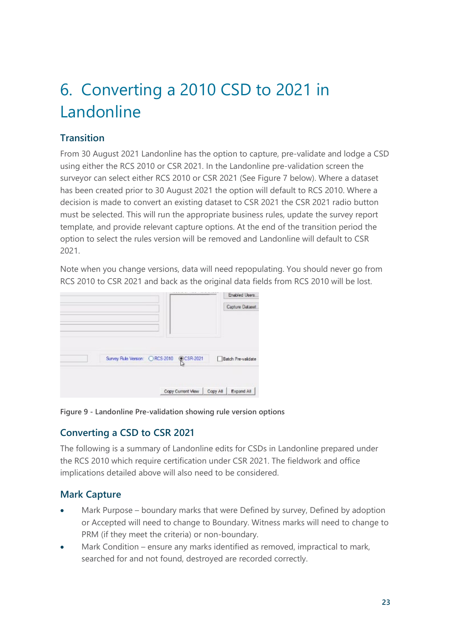# <span id="page-22-0"></span>6. Converting a 2010 CSD to 2021 in Landonline

### **Transition**

From 30 August 2021 Landonline has the option to capture, pre-validate and lodge a CSD using either the RCS 2010 or CSR 2021. In the Landonline pre-validation screen the surveyor can select either RCS 2010 or CSR 2021 (See Figure 7 below). Where a dataset has been created prior to 30 August 2021 the option will default to RCS 2010. Where a decision is made to convert an existing dataset to CSR 2021 the CSR 2021 radio button must be selected. This will run the appropriate business rules, update the survey report template, and provide relevant capture options. At the end of the transition period the option to select the rules version will be removed and Landonline will default to CSR 2021.

Note when you change versions, data will need repopulating. You should never go from RCS 2010 to CSR 2021 and back as the original data fields from RCS 2010 will be lost.

|                                           |                   |          | Enabled Users      |
|-------------------------------------------|-------------------|----------|--------------------|
|                                           |                   |          | Capture Dataset    |
|                                           |                   |          |                    |
|                                           |                   |          |                    |
|                                           |                   |          |                    |
|                                           |                   |          |                    |
| Survey Rule Version: C RCS-2010 @CSR-2021 |                   |          | Batch Pre-validate |
|                                           |                   |          |                    |
|                                           |                   |          |                    |
|                                           |                   |          |                    |
|                                           | Copy Current View | Copy All | Expand All         |

**Figure 9 - Landonline Pre-validation showing rule version options**

### **Converting a CSD to CSR 2021**

The following is a summary of Landonline edits for CSDs in Landonline prepared under the RCS 2010 which require certification under CSR 2021. The fieldwork and office implications detailed above will also need to be considered.

### **Mark Capture**

- Mark Purpose boundary marks that were Defined by survey, Defined by adoption or Accepted will need to change to Boundary. Witness marks will need to change to PRM (if they meet the criteria) or non-boundary.
- Mark Condition ensure any marks identified as removed, impractical to mark, searched for and not found, destroyed are recorded correctly.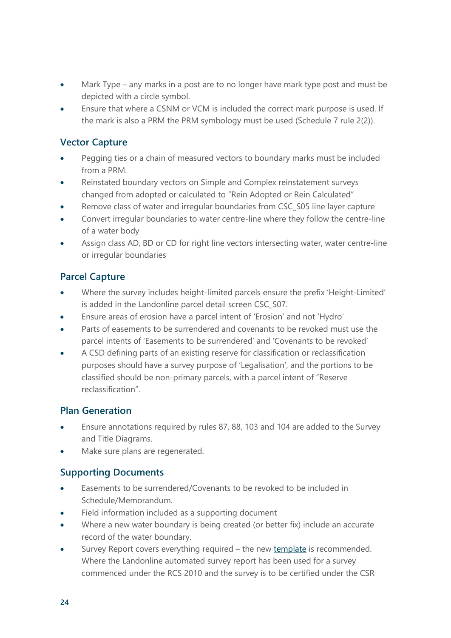- Mark Type any marks in a post are to no longer have mark type post and must be depicted with a circle symbol.
- Ensure that where a CSNM or VCM is included the correct mark purpose is used. If the mark is also a PRM the PRM symbology must be used (Schedule 7 rule 2(2)).

#### **Vector Capture**

- Pegging ties or a chain of measured vectors to boundary marks must be included from a PRM.
- Reinstated boundary vectors on Simple and Complex reinstatement surveys changed from adopted or calculated to "Rein Adopted or Rein Calculated"
- Remove class of water and irregular boundaries from CSC\_S05 line layer capture
- Convert irregular boundaries to water centre-line where they follow the centre-line of a water body
- Assign class AD, BD or CD for right line vectors intersecting water, water centre-line or irregular boundaries

#### **Parcel Capture**

- Where the survey includes height-limited parcels ensure the prefix 'Height-Limited' is added in the Landonline parcel detail screen CSC\_S07.
- Ensure areas of erosion have a parcel intent of 'Erosion' and not 'Hydro'
- Parts of easements to be surrendered and covenants to be revoked must use the parcel intents of 'Easements to be surrendered' and 'Covenants to be revoked'
- A CSD defining parts of an existing reserve for classification or reclassification purposes should have a survey purpose of 'Legalisation', and the portions to be classified should be non-primary parcels, with a parcel intent of "Reserve reclassification".

#### **Plan Generation**

- Ensure annotations required by rules 87, 88, 103 and 104 are added to the Survey and Title Diagrams.
- Make sure plans are regenerated.

### **Supporting Documents**

- Easements to be surrendered/Covenants to be revoked to be included in Schedule/Memorandum.
- Field information included as a supporting document
- Where a new water boundary is being created (or better fix) include an accurate record of the water boundary.
- Survey Report covers everything required the new [template](https://www.linz.govt.nz/system/files_force/media/doc/survey_report_template_v1_july_2021_0.docx?download=1) is recommended. Where the Landonline automated survey report has been used for a survey commenced under the RCS 2010 and the survey is to be certified under the CSR